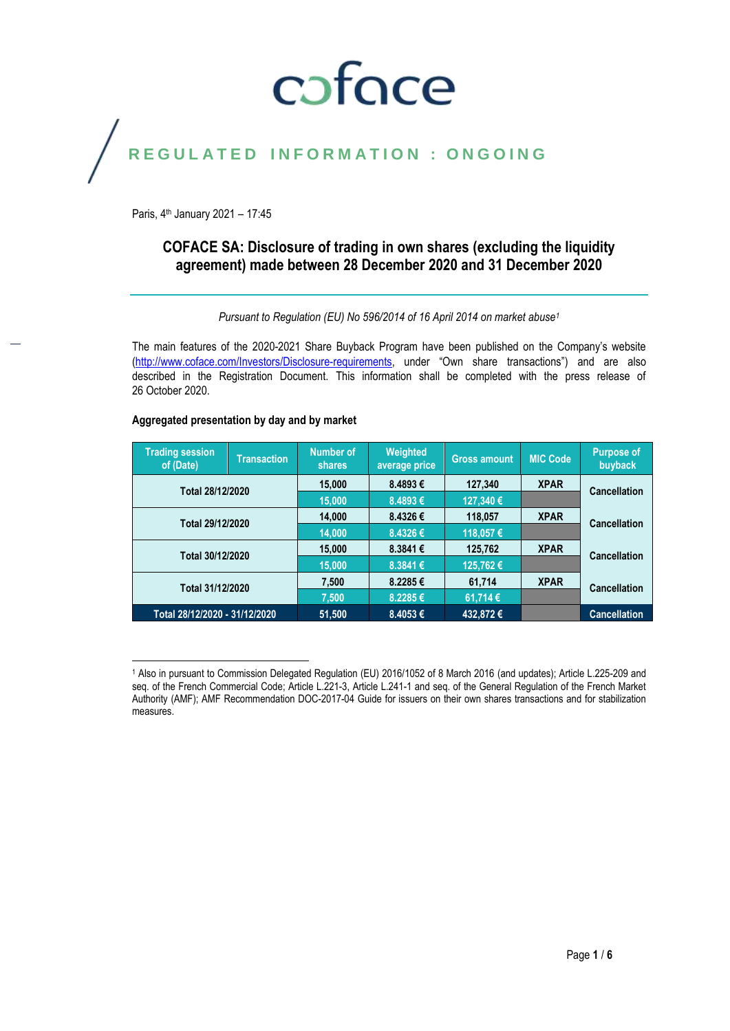## coface

## REGULATED INFORMATION : ONGOING

Paris, 4<sup>th</sup> January 2021 - 17:45

## **COFACE SA: Disclosure of trading in own shares (excluding the liquidity agreement) made between 28 December 2020 and 31 December 2020**

*Pursuant to Regulation (EU) No 596/2014 of 16 April 2014 on market abuse<sup>1</sup>*

The main features of the 2020-2021 Share Buyback Program have been published on the Company's website [\(http://www.coface.com/Investors/Disclosure-requirements](http://www.coface.com/Investors/Disclosure-requirements), under "Own share transactions") and are also described in the Registration Document. This information shall be completed with the press release of 26 October 2020.

## **Aggregated presentation by day and by market**

| <b>Trading session</b><br>of (Date) | <b>Transaction</b> | <b>Number of</b><br>shares | Weighted<br>average price | <b>Gross amount</b> | <b>MIC Code</b> | <b>Purpose of</b><br>buyback |
|-------------------------------------|--------------------|----------------------------|---------------------------|---------------------|-----------------|------------------------------|
| Total 28/12/2020                    |                    | 15,000                     | 8.4893€                   | 127,340             | <b>XPAR</b>     | Cancellation                 |
|                                     |                    | 15,000                     | 8.4893€                   | 127,340 €           |                 |                              |
| Total 29/12/2020                    |                    | 14.000                     | 8.4326€                   | 118,057             | <b>XPAR</b>     | <b>Cancellation</b>          |
|                                     |                    | 14.000                     | 8.4326€                   | 118,057€            |                 |                              |
| Total 30/12/2020                    |                    | 15,000                     | 8.3841€                   | 125,762             | <b>XPAR</b>     | Cancellation                 |
|                                     |                    | 15.000                     | 8.3841€                   | 125,762€            |                 |                              |
| Total 31/12/2020                    |                    | 7,500                      | 8.2285€                   | 61,714              | <b>XPAR</b>     | <b>Cancellation</b>          |
|                                     |                    | 7.500                      | 8.2285€                   | 61,714€             |                 |                              |
| Total 28/12/2020 - 31/12/2020       |                    | 51,500                     | 8.4053€                   | 432,872€            |                 | <b>Cancellation</b>          |

 $\overline{a}$ <sup>1</sup> Also in pursuant to Commission Delegated Regulation (EU) 2016/1052 of 8 March 2016 (and updates); Article L.225-209 and seq. of the French Commercial Code; Article L.221-3, Article L.241-1 and seq. of the General Regulation of the French Market Authority (AMF); AMF Recommendation DOC-2017-04 Guide for issuers on their own shares transactions and for stabilization measures.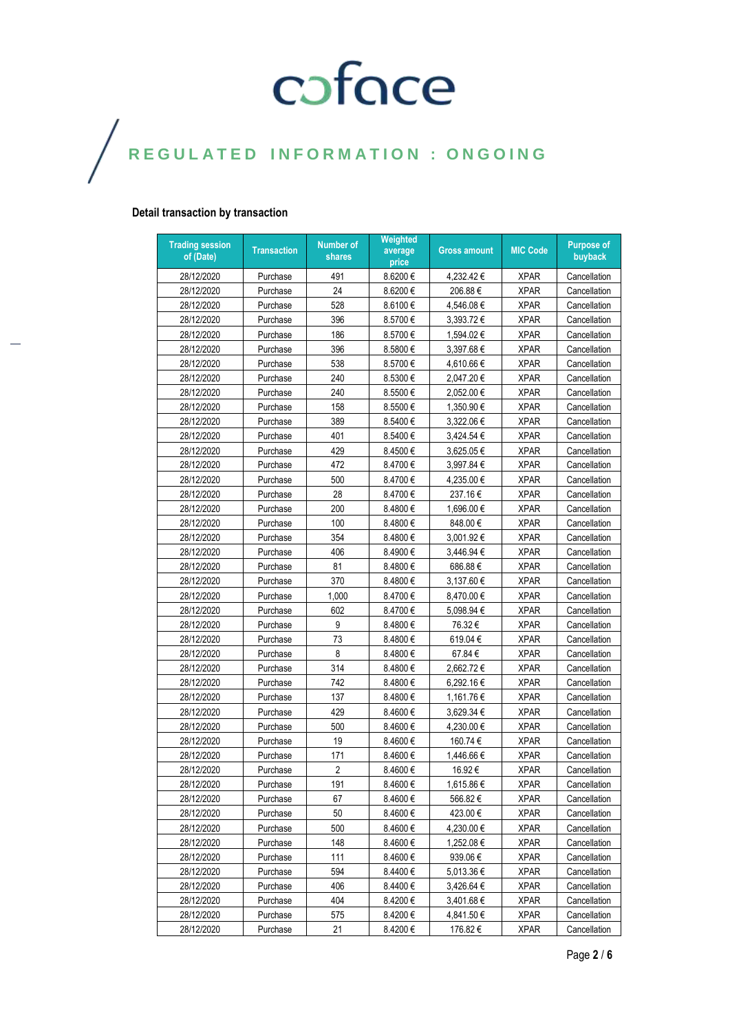## **Detail transaction by transaction**

| <b>Trading session</b><br>of (Date) | <b>Transaction</b> | Number of<br>shares | Weighted<br>average<br>price | <b>Gross amount</b> | <b>MIC Code</b> | <b>Purpose of</b><br>buyback |
|-------------------------------------|--------------------|---------------------|------------------------------|---------------------|-----------------|------------------------------|
| 28/12/2020                          | Purchase           | 491                 | 8.6200€                      | 4,232.42€           | <b>XPAR</b>     | Cancellation                 |
| 28/12/2020                          | Purchase           | 24                  | 8.6200€                      | 206.88€             | <b>XPAR</b>     | Cancellation                 |
| 28/12/2020                          | Purchase           | 528                 | 8.6100€                      | 4,546.08€           | <b>XPAR</b>     | Cancellation                 |
| 28/12/2020                          | Purchase           | 396                 | 8.5700€                      | 3,393.72€           | <b>XPAR</b>     | Cancellation                 |
| 28/12/2020                          | Purchase           | 186                 | 8.5700€                      | 1,594.02€           | <b>XPAR</b>     | Cancellation                 |
| 28/12/2020                          | Purchase           | 396                 | 8.5800€                      | 3,397.68€           | <b>XPAR</b>     | Cancellation                 |
| 28/12/2020                          | Purchase           | 538                 | 8.5700€                      | 4.610.66€           | <b>XPAR</b>     | Cancellation                 |
| 28/12/2020                          | Purchase           | 240                 | 8.5300€                      | 2,047.20€           | <b>XPAR</b>     | Cancellation                 |
| 28/12/2020                          | Purchase           | 240                 | 8.5500€                      | 2,052.00 €          | <b>XPAR</b>     | Cancellation                 |
| 28/12/2020                          | Purchase           | 158                 | 8.5500€                      | 1.350.90€           | <b>XPAR</b>     | Cancellation                 |
| 28/12/2020                          | Purchase           | 389                 | 8.5400€                      | 3,322.06€           | <b>XPAR</b>     | Cancellation                 |
| 28/12/2020                          | Purchase           | 401                 | 8.5400€                      | 3,424.54 €          | <b>XPAR</b>     | Cancellation                 |
| 28/12/2020                          | Purchase           | 429                 | 8.4500€                      | 3,625.05€           | <b>XPAR</b>     | Cancellation                 |
| 28/12/2020                          | Purchase           | 472                 | 8.4700€                      | 3,997.84 €          | <b>XPAR</b>     | Cancellation                 |
| 28/12/2020                          | Purchase           | 500                 | 8.4700€                      | 4,235.00 €          | <b>XPAR</b>     | Cancellation                 |
| 28/12/2020                          | Purchase           | 28                  | 8.4700€                      | 237.16€             | <b>XPAR</b>     | Cancellation                 |
| 28/12/2020                          | Purchase           | 200                 | 8.4800€                      | 1,696.00€           | <b>XPAR</b>     | Cancellation                 |
| 28/12/2020                          | Purchase           | 100                 | 8.4800€                      | 848.00 €            | <b>XPAR</b>     | Cancellation                 |
| 28/12/2020                          | Purchase           | 354                 | 8.4800€                      | 3.001.92€           | <b>XPAR</b>     | Cancellation                 |
| 28/12/2020                          | Purchase           | 406                 | 8.4900€                      | 3.446.94€           | <b>XPAR</b>     | Cancellation                 |
| 28/12/2020                          | Purchase           | 81                  | 8.4800€                      | 686.88€             | <b>XPAR</b>     | Cancellation                 |
| 28/12/2020                          | Purchase           | 370                 | 8.4800€                      | 3,137.60€           | <b>XPAR</b>     | Cancellation                 |
| 28/12/2020                          | Purchase           | 1,000               | 8.4700€                      | 8,470.00€           | <b>XPAR</b>     | Cancellation                 |
| 28/12/2020                          | Purchase           | 602                 | 8.4700€                      | 5,098.94 €          | <b>XPAR</b>     | Cancellation                 |
| 28/12/2020                          | Purchase           | 9                   | 8.4800€                      | 76.32€              | <b>XPAR</b>     | Cancellation                 |
| 28/12/2020                          | Purchase           | 73                  | 8.4800€                      | 619.04 €            | <b>XPAR</b>     | Cancellation                 |
| 28/12/2020                          | Purchase           | 8                   | 8.4800€                      | 67.84€              | <b>XPAR</b>     | Cancellation                 |
| 28/12/2020                          | Purchase           | 314                 | 8.4800€                      | 2,662.72€           | <b>XPAR</b>     | Cancellation                 |
| 28/12/2020                          | Purchase           | 742                 | 8.4800€                      | 6,292.16€           | <b>XPAR</b>     | Cancellation                 |
| 28/12/2020                          | Purchase           | 137                 | 8.4800€                      | 1,161.76€           | <b>XPAR</b>     | Cancellation                 |
| 28/12/2020                          | Purchase           | 429                 | 8.4600€                      | 3,629.34 €          | <b>XPAR</b>     | Cancellation                 |
| 28/12/2020                          | Purchase           | 500                 | 8.4600€                      | 4.230.00€           | <b>XPAR</b>     | Cancellation                 |
| 28/12/2020                          | Purchase           | 19                  | 8.4600€                      | 160.74 €            | <b>XPAR</b>     | Cancellation                 |
| 28/12/2020                          | Purchase           | 171                 | $8.4600 \in$                 | 1,446.66 €          | <b>XPAR</b>     | Cancellation                 |
| 28/12/2020                          | Purchase           | $\sqrt{2}$          | 8.4600€                      | 16.92€              | <b>XPAR</b>     | Cancellation                 |
| 28/12/2020                          | Purchase           | 191                 | 8.4600€                      | 1,615.86€           | <b>XPAR</b>     | Cancellation                 |
| 28/12/2020                          | Purchase           | 67                  | 8.4600€                      | 566.82€             | <b>XPAR</b>     | Cancellation                 |
| 28/12/2020                          | Purchase           | 50                  | 8.4600€                      | 423.00€             | <b>XPAR</b>     | Cancellation                 |
| 28/12/2020                          | Purchase           | 500                 | 8.4600€                      | 4,230.00€           | <b>XPAR</b>     | Cancellation                 |
| 28/12/2020                          | Purchase           | 148                 | 8.4600€                      | 1,252.08€           | <b>XPAR</b>     | Cancellation                 |
| 28/12/2020                          | Purchase           | 111                 | 8.4600€                      | 939.06€             | <b>XPAR</b>     | Cancellation                 |
| 28/12/2020                          | Purchase           | 594                 | 8.4400€                      | 5,013.36€           | <b>XPAR</b>     | Cancellation                 |
| 28/12/2020                          | Purchase           | 406                 | 8.4400€                      | 3,426.64 €          | <b>XPAR</b>     | Cancellation                 |
| 28/12/2020                          | Purchase           | 404                 | 8.4200 €                     | 3,401.68€           | <b>XPAR</b>     | Cancellation                 |
| 28/12/2020                          | Purchase           | 575                 | 8.4200€                      | 4,841.50€           | <b>XPAR</b>     | Cancellation                 |
| 28/12/2020                          | Purchase           | 21                  | 8.4200€                      | 176.82€             | <b>XPAR</b>     | Cancellation                 |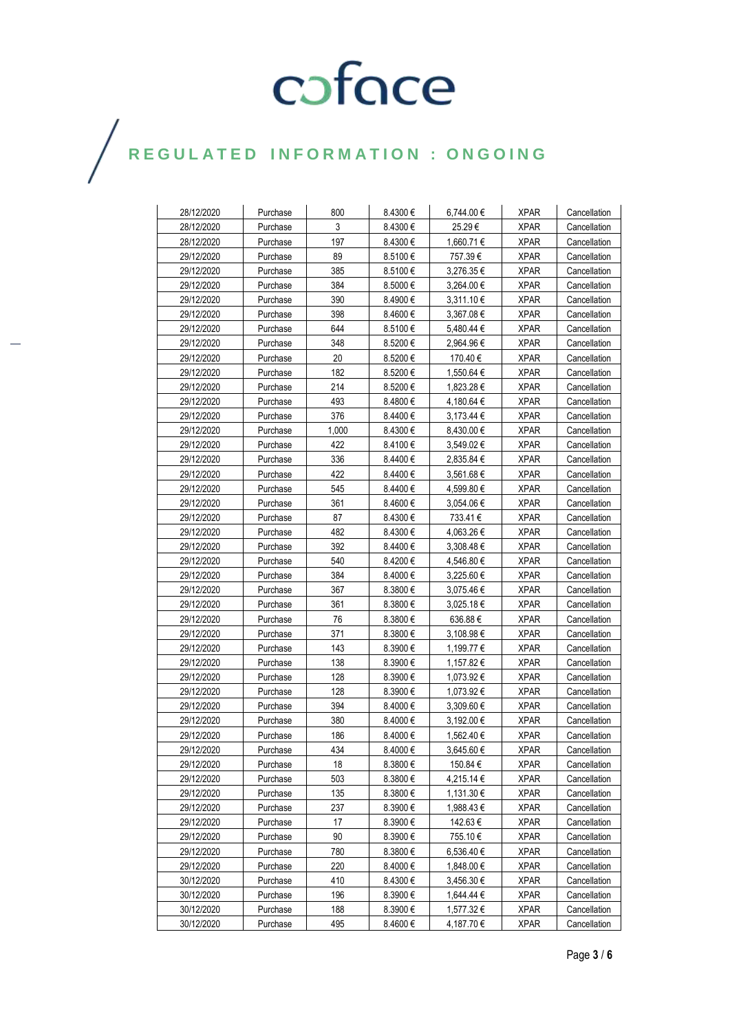## $\bigg)$

| 28/12/2020 | Purchase | 800   | 8.4300€      | 6,744.00 €     | <b>XPAR</b> | Cancellation |
|------------|----------|-------|--------------|----------------|-------------|--------------|
| 28/12/2020 | Purchase | 3     | 8.4300€      | 25.29€         | <b>XPAR</b> | Cancellation |
| 28/12/2020 | Purchase | 197   | 8.4300€      | 1,660.71 €     | <b>XPAR</b> | Cancellation |
| 29/12/2020 | Purchase | 89    | 8.5100 €     | 757.39€        | <b>XPAR</b> | Cancellation |
| 29/12/2020 | Purchase | 385   | 8.5100 €     | 3,276.35€      | <b>XPAR</b> | Cancellation |
| 29/12/2020 | Purchase | 384   | 8.5000€      | 3,264.00 €     | <b>XPAR</b> | Cancellation |
| 29/12/2020 | Purchase | 390   | 8.4900 €     | $3,311.10 \in$ | <b>XPAR</b> | Cancellation |
| 29/12/2020 | Purchase | 398   | $8.4600 \in$ | $3,367.08 \in$ | <b>XPAR</b> | Cancellation |
| 29/12/2020 | Purchase | 644   | $8.5100 \in$ | 5,480.44 €     | <b>XPAR</b> | Cancellation |
| 29/12/2020 | Purchase | 348   | 8.5200€      | 2,964.96€      | <b>XPAR</b> | Cancellation |
| 29/12/2020 | Purchase | 20    | 8.5200 €     | 170.40 €       | <b>XPAR</b> | Cancellation |
| 29/12/2020 | Purchase | 182   | 8.5200 €     | 1,550.64 €     | <b>XPAR</b> | Cancellation |
| 29/12/2020 | Purchase | 214   | 8.5200 €     | 1,823.28 €     | <b>XPAR</b> | Cancellation |
| 29/12/2020 | Purchase | 493   | $8.4800 \in$ | 4,180.64 €     | <b>XPAR</b> | Cancellation |
| 29/12/2020 | Purchase | 376   | 8.4400€      | $3,173.44 \in$ | <b>XPAR</b> | Cancellation |
| 29/12/2020 | Purchase | 1,000 | $8.4300 \in$ | $8,430.00 \in$ | <b>XPAR</b> | Cancellation |
| 29/12/2020 | Purchase | 422   | 8.4100 €     | $3,549.02 \in$ | <b>XPAR</b> | Cancellation |
| 29/12/2020 | Purchase | 336   | 8.4400€      | 2,835.84 €     | <b>XPAR</b> | Cancellation |
| 29/12/2020 | Purchase | 422   | 8.4400€      | 3,561.68€      | <b>XPAR</b> | Cancellation |
| 29/12/2020 | Purchase | 545   | 8.4400€      | 4,599.80€      | <b>XPAR</b> | Cancellation |
| 29/12/2020 | Purchase | 361   | $8.4600 \in$ | 3,054.06 €     | <b>XPAR</b> | Cancellation |
| 29/12/2020 | Purchase | 87    | $8.4300 \in$ | 733.41 €       | <b>XPAR</b> | Cancellation |
| 29/12/2020 | Purchase | 482   | 8.4300€      | 4.063.26€      | <b>XPAR</b> | Cancellation |
| 29/12/2020 | Purchase | 392   | 8.4400€      | 3,308.48€      | <b>XPAR</b> | Cancellation |
| 29/12/2020 | Purchase | 540   | 8.4200 €     | 4,546.80 €     | <b>XPAR</b> | Cancellation |
| 29/12/2020 | Purchase | 384   | $8.4000 \in$ | 3,225.60 €     | <b>XPAR</b> | Cancellation |
| 29/12/2020 | Purchase | 367   | $8.3800 \in$ | 3,075.46 €     | <b>XPAR</b> | Cancellation |
| 29/12/2020 | Purchase | 361   | 8.3800€      | 3,025.18€      | <b>XPAR</b> | Cancellation |
| 29/12/2020 | Purchase | 76    | $8.3800 \in$ | 636.88€        | <b>XPAR</b> | Cancellation |
| 29/12/2020 | Purchase | 371   | $8.3800 \in$ | 3,108.98€      | <b>XPAR</b> | Cancellation |
| 29/12/2020 | Purchase | 143   | $8.3900 \in$ | 1,199.77 €     | <b>XPAR</b> | Cancellation |
| 29/12/2020 | Purchase | 138   | 8.3900€      | 1,157.82 €     | <b>XPAR</b> | Cancellation |
| 29/12/2020 | Purchase | 128   | 8.3900€      | 1,073.92 €     | <b>XPAR</b> | Cancellation |
| 29/12/2020 | Purchase | 128   | 8.3900€      | 1,073.92 €     | <b>XPAR</b> | Cancellation |
| 29/12/2020 | Purchase | 394   | $8.4000 \in$ | $3,309.60 \in$ | <b>XPAR</b> | Cancellation |
| 29/12/2020 | Purchase | 380   | $8.4000 \in$ | 3,192.00 €     | <b>XPAR</b> | Cancellation |
| 29/12/2020 | Purchase | 186   | $8.4000 \in$ | 1,562.40 €     | <b>XPAR</b> | Cancellation |
| 29/12/2020 | Purchase | 434   | 8.4000€      | 3,645.60€      | <b>XPAR</b> | Cancellation |
| 29/12/2020 | Purchase | 18    | $8.3800 \in$ | 150.84 €       | <b>XPAR</b> | Cancellation |
| 29/12/2020 | Purchase | 503   | 8.3800€      | 4,215.14 €     | <b>XPAR</b> | Cancellation |
| 29/12/2020 | Purchase | 135   | 8.3800€      | 1,131.30 €     | <b>XPAR</b> | Cancellation |
| 29/12/2020 | Purchase | 237   | $8.3900 \in$ | 1,988.43 €     | <b>XPAR</b> | Cancellation |
| 29/12/2020 | Purchase | 17    | 8.3900€      | 142.63 €       | <b>XPAR</b> | Cancellation |
| 29/12/2020 | Purchase | 90    | 8.3900€      | 755.10€        | <b>XPAR</b> | Cancellation |
| 29/12/2020 | Purchase | 780   | 8.3800€      | 6,536.40 €     | <b>XPAR</b> | Cancellation |
| 29/12/2020 | Purchase | 220   | 8.4000€      | 1,848.00 €     | <b>XPAR</b> | Cancellation |
| 30/12/2020 | Purchase | 410   | $8.4300 \in$ | 3,456.30 €     | <b>XPAR</b> | Cancellation |
| 30/12/2020 | Purchase | 196   | 8.3900€      | 1,644.44 €     | <b>XPAR</b> | Cancellation |
| 30/12/2020 | Purchase | 188   | 8.3900€      | 1,577.32€      | <b>XPAR</b> | Cancellation |
| 30/12/2020 | Purchase | 495   | 8.4600€      | 4,187.70€      | <b>XPAR</b> | Cancellation |
|            |          |       |              |                |             |              |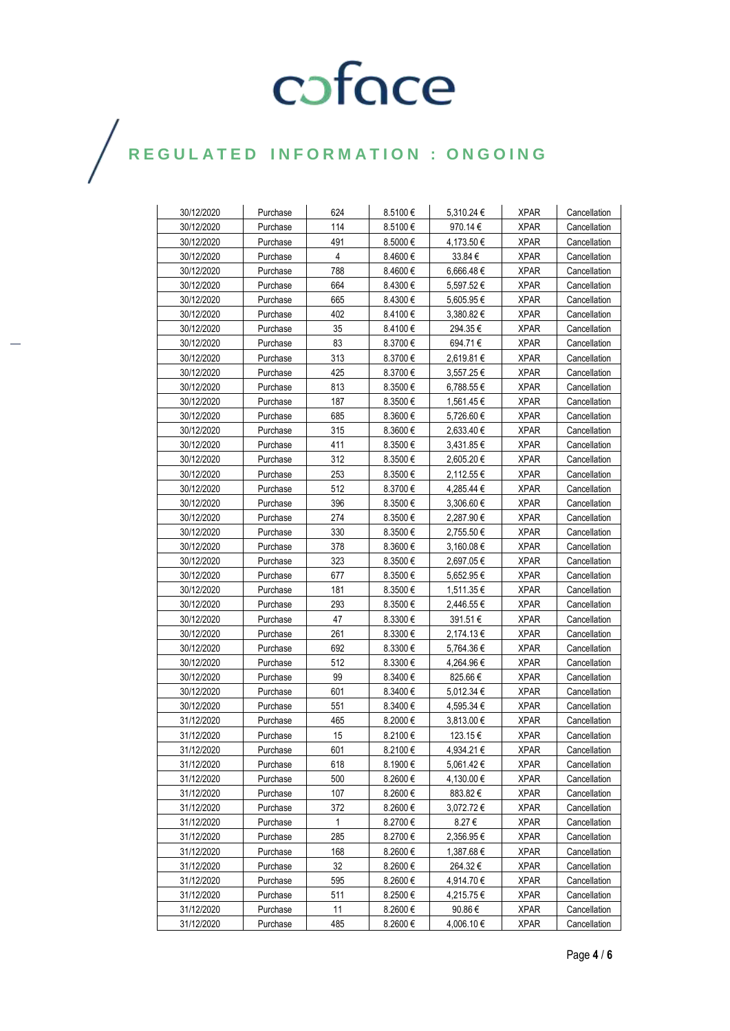## $\bigg)$

| 30/12/2020 | Purchase | 624 | 8.5100€      | 5,310.24 €     | <b>XPAR</b> | Cancellation |
|------------|----------|-----|--------------|----------------|-------------|--------------|
| 30/12/2020 | Purchase | 114 | 8.5100€      | 970.14€        | <b>XPAR</b> | Cancellation |
| 30/12/2020 | Purchase | 491 | $8.5000 \in$ | 4,173.50 €     | <b>XPAR</b> | Cancellation |
| 30/12/2020 | Purchase | 4   | $8.4600 \in$ | $33.84 \in$    | <b>XPAR</b> | Cancellation |
| 30/12/2020 | Purchase | 788 | $8.4600 \in$ | 6,666.48€      | <b>XPAR</b> | Cancellation |
| 30/12/2020 | Purchase | 664 | 8.4300€      | 5,597.52€      | <b>XPAR</b> | Cancellation |
| 30/12/2020 | Purchase | 665 | 8.4300€      | 5,605.95 €     | <b>XPAR</b> | Cancellation |
| 30/12/2020 | Purchase | 402 | 8.4100 €     | 3,380.82 €     | <b>XPAR</b> | Cancellation |
| 30/12/2020 | Purchase | 35  | 8.4100 €     | 294.35 €       | <b>XPAR</b> | Cancellation |
| 30/12/2020 | Purchase | 83  | 8.3700€      | 694.71 €       | <b>XPAR</b> | Cancellation |
| 30/12/2020 | Purchase | 313 | $8.3700 \in$ | 2,619.81 €     | <b>XPAR</b> | Cancellation |
| 30/12/2020 | Purchase | 425 | 8.3700€      | 3,557.25€      | <b>XPAR</b> | Cancellation |
| 30/12/2020 | Purchase | 813 | 8.3500 $\in$ | 6,788.55€      | <b>XPAR</b> | Cancellation |
| 30/12/2020 | Purchase | 187 | $8.3500 \in$ | 1,561.45 €     | <b>XPAR</b> | Cancellation |
| 30/12/2020 | Purchase | 685 | 8.3600 $\in$ | 5,726.60 €     | <b>XPAR</b> | Cancellation |
| 30/12/2020 | Purchase | 315 | $8.3600 \in$ | 2,633.40 €     | <b>XPAR</b> | Cancellation |
| 30/12/2020 | Purchase | 411 | 8.3500€      | 3,431.85 €     | <b>XPAR</b> | Cancellation |
| 30/12/2020 | Purchase | 312 | 8.3500€      | 2,605.20 €     | <b>XPAR</b> | Cancellation |
| 30/12/2020 | Purchase | 253 | $8.3500 \in$ | 2,112.55 €     | <b>XPAR</b> | Cancellation |
| 30/12/2020 | Purchase | 512 | $8.3700 \in$ | 4,285.44 €     | <b>XPAR</b> | Cancellation |
| 30/12/2020 | Purchase | 396 | $8.3500 \in$ | 3,306.60 €     | <b>XPAR</b> | Cancellation |
| 30/12/2020 | Purchase | 274 | $8.3500 \in$ | 2,287.90 €     | <b>XPAR</b> | Cancellation |
| 30/12/2020 | Purchase | 330 | $8.3500 \in$ | 2,755.50 €     | <b>XPAR</b> | Cancellation |
| 30/12/2020 | Purchase | 378 | $8.3600 \in$ | $3,160.08 \in$ | <b>XPAR</b> | Cancellation |
| 30/12/2020 | Purchase | 323 | 8.3500 $\in$ | 2,697.05 €     | <b>XPAR</b> | Cancellation |
| 30/12/2020 | Purchase | 677 | 8.3500€      | 5,652.95 €     | <b>XPAR</b> | Cancellation |
| 30/12/2020 | Purchase | 181 | 8.3500€      | 1,511.35 €     | <b>XPAR</b> | Cancellation |
| 30/12/2020 | Purchase | 293 | 8.3500 $\in$ | 2,446.55 €     | XPAR        | Cancellation |
| 30/12/2020 | Purchase | 47  | 8.3300€      | 391.51€        | <b>XPAR</b> | Cancellation |
| 30/12/2020 | Purchase | 261 | 8.3300 $\in$ | 2,174.13 €     | <b>XPAR</b> | Cancellation |
| 30/12/2020 | Purchase | 692 | 8.3300€      | 5,764.36€      | <b>XPAR</b> | Cancellation |
| 30/12/2020 | Purchase | 512 | 8.3300€      | 4,264.96 €     | <b>XPAR</b> | Cancellation |
| 30/12/2020 | Purchase | 99  | 8.3400€      | 825.66€        | <b>XPAR</b> | Cancellation |
| 30/12/2020 | Purchase | 601 | 8.3400 €     | 5,012.34 €     | <b>XPAR</b> | Cancellation |
| 30/12/2020 | Purchase | 551 | 8.3400 €     | 4,595.34 €     | <b>XPAR</b> | Cancellation |
| 31/12/2020 | Purchase | 465 | 8.2000€      | 3,813.00 €     | <b>XPAR</b> | Cancellation |
| 31/12/2020 | Purchase | 15  | 8.2100€      | 123.15 €       | <b>XPAR</b> | Cancellation |
| 31/12/2020 | Purchase | 601 | 8.2100€      | 4,934.21€      | <b>XPAR</b> | Cancellation |
| 31/12/2020 | Purchase | 618 | $8.1900 \in$ | 5,061.42 €     | <b>XPAR</b> | Cancellation |
| 31/12/2020 | Purchase | 500 | $8.2600 \in$ | 4,130.00 €     | <b>XPAR</b> | Cancellation |
| 31/12/2020 | Purchase | 107 | $8.2600 \in$ | 883.82€        | <b>XPAR</b> | Cancellation |
| 31/12/2020 | Purchase | 372 | 8.2600€      | 3,072.72€      | <b>XPAR</b> | Cancellation |
| 31/12/2020 | Purchase | 1   | 8.2700€      | 8.27€          | <b>XPAR</b> | Cancellation |
| 31/12/2020 | Purchase | 285 | 8.2700€      | 2,356.95€      | <b>XPAR</b> | Cancellation |
| 31/12/2020 | Purchase | 168 | 8.2600€      | 1,387.68€      | <b>XPAR</b> | Cancellation |
| 31/12/2020 | Purchase | 32  | 8.2600€      | 264.32€        | <b>XPAR</b> | Cancellation |
| 31/12/2020 | Purchase | 595 | 8.2600€      | 4,914.70€      | <b>XPAR</b> | Cancellation |
| 31/12/2020 | Purchase | 511 | 8.2500€      | 4,215.75€      | <b>XPAR</b> | Cancellation |
| 31/12/2020 | Purchase | 11  | 8.2600 €     | 90.86€         | <b>XPAR</b> | Cancellation |
| 31/12/2020 | Purchase | 485 | 8.2600€      | 4,006.10 €     | <b>XPAR</b> | Cancellation |
|            |          |     |              |                |             |              |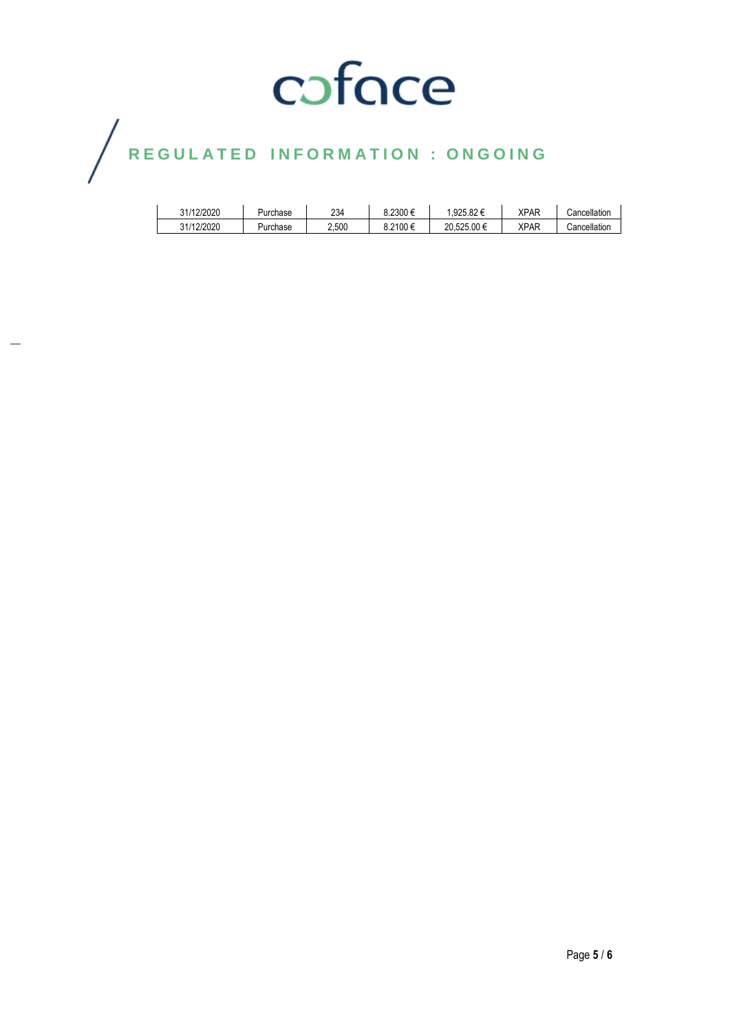## $\bigg)$

| 31/12/2020 | Purchase | 234   | 8.2300     | .925.82€    | <b>XPAF</b> | Cancellation |
|------------|----------|-------|------------|-------------|-------------|--------------|
| 31/12/2020 | Purchase | 2.500 | $3.2100$ € | 20.525.00 € | <b>XPAF</b> | Cancellation |